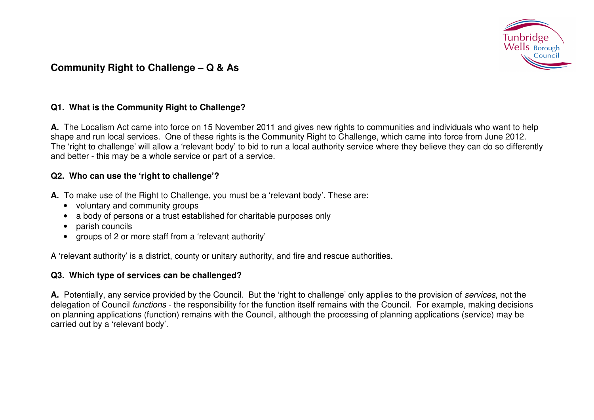

# **Community Right to Challenge – Q & As**

## **Q1. What is the Community Right to Challenge?**

**A.** The Localism Act came into force on 15 November 2011 and gives new rights to communities and individuals who want to help shape and run local services. One of these rights is the Community Right to Challenge, which came into force from June 2012. The 'right to challenge' will allow a 'relevant body' to bid to run a local authority service where they believe they can do so differently and better - this may be a whole service or part of a service.

#### **Q2. Who can use the 'right to challenge'?**

- **A.** To make use of the Right to Challenge, you must be a 'relevant body'. These are:
	- voluntary and community groups
	- a body of persons or a trust established for charitable purposes only
	- parish councils
	- groups of 2 or more staff from a 'relevant authority'

A 'relevant authority' is a district, county or unitary authority, and fire and rescue authorities.

## **Q3. Which type of services can be challenged?**

**A.** Potentially, any service provided by the Council. But the 'right to challenge' only applies to the provision of services, not the delegation of Council *functions* - the responsibility for the function itself remains with the Council. For example, making decisions on planning applications (function) remains with the Council, although the processing of planning applications (service) may be carried out by a 'relevant body'.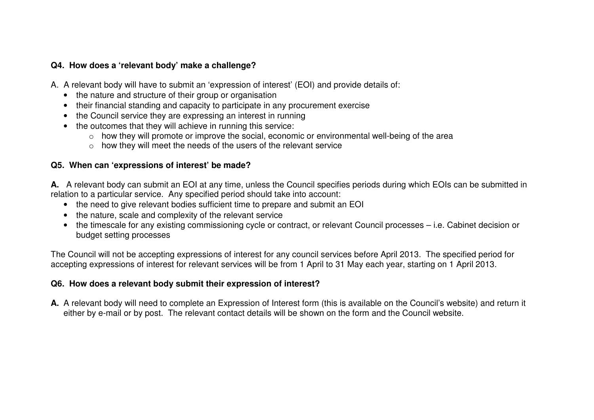## **Q4. How does a 'relevant body' make a challenge?**

A. A relevant body will have to submit an 'expression of interest' (EOI) and provide details of:

- the nature and structure of their group or organisation
- their financial standing and capacity to participate in any procurement exercise
- the Council service they are expressing an interest in running
- the outcomes that they will achieve in running this service:
	- $\circ$  how they will promote or improve the social, economic or environmental well-being of the area
	- o how they will meet the needs of the users of the relevant service

#### **Q5. When can 'expressions of interest' be made?**

**A.** A relevant body can submit an EOI at any time, unless the Council specifies periods during which EOIs can be submitted in relation to a particular service. Any specified period should take into account:

- the need to give relevant bodies sufficient time to prepare and submit an EOI
- the nature, scale and complexity of the relevant service
- the timescale for any existing commissioning cycle or contract, or relevant Council processes i.e. Cabinet decision or budget setting processes

The Council will not be accepting expressions of interest for any council services before April 2013. The specified period for accepting expressions of interest for relevant services will be from 1 April to 31 May each year, starting on 1 April 2013.

## **Q6. How does a relevant body submit their expression of interest?**

**A.** A relevant body will need to complete an Expression of Interest form (this is available on the Council's website) and return it either by e-mail or by post. The relevant contact details will be shown on the form and the Council website.